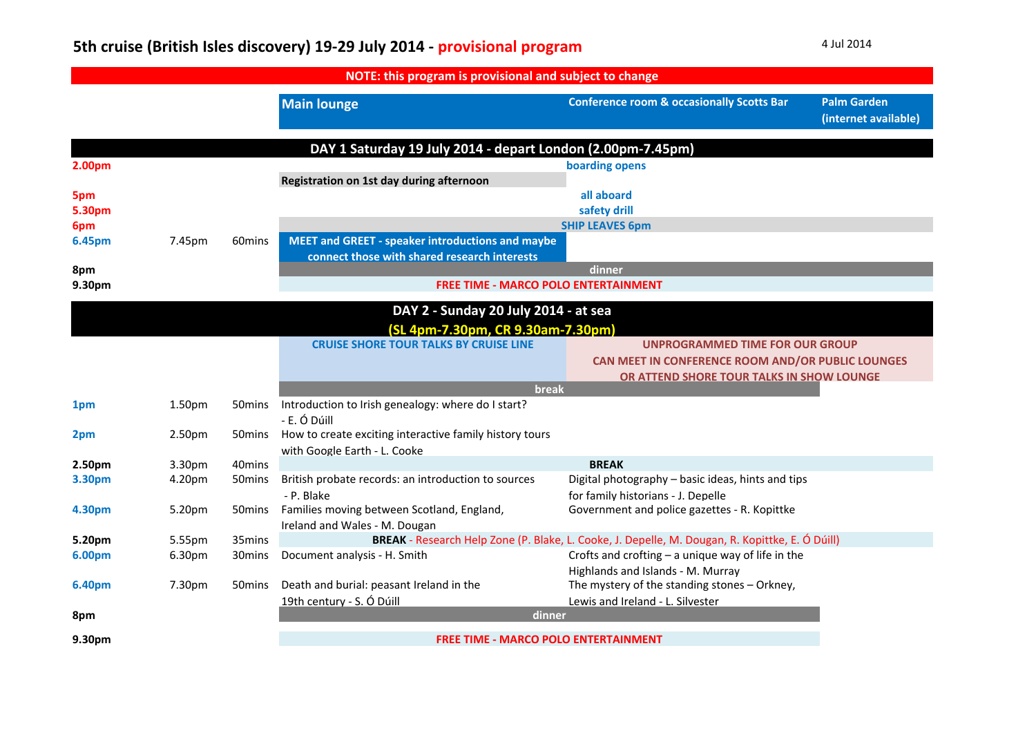## **5th cruise (British Isles discovery) <sup>19</sup>‐<sup>29</sup> July <sup>2014</sup> ‐ provisional program** <sup>4</sup> Jul <sup>2014</sup>

|        |                    |                    | NOTE: this program is provisional and subject to change     |                                                                                                 |                                            |
|--------|--------------------|--------------------|-------------------------------------------------------------|-------------------------------------------------------------------------------------------------|--------------------------------------------|
|        |                    |                    | <b>Main lounge</b>                                          | <b>Conference room &amp; occasionally Scotts Bar</b>                                            | <b>Palm Garden</b><br>(internet available) |
|        |                    |                    | DAY 1 Saturday 19 July 2014 - depart London (2.00pm-7.45pm) |                                                                                                 |                                            |
| 2.00pm |                    |                    |                                                             | boarding opens                                                                                  |                                            |
|        |                    |                    | Registration on 1st day during afternoon                    |                                                                                                 |                                            |
| 5pm    |                    |                    |                                                             | all aboard                                                                                      |                                            |
| 5.30pm |                    |                    |                                                             | safety drill                                                                                    |                                            |
| 6pm    |                    |                    |                                                             | <b>SHIP LEAVES 6pm</b>                                                                          |                                            |
| 6.45pm | 7.45pm             | 60 <sub>mins</sub> | <b>MEET and GREET - speaker introductions and maybe</b>     |                                                                                                 |                                            |
|        |                    |                    | connect those with shared research interests                |                                                                                                 |                                            |
| 8pm    |                    |                    |                                                             | dinner                                                                                          |                                            |
| 9.30pm |                    |                    | <b>FREE TIME - MARCO POLO ENTERTAINMENT</b>                 |                                                                                                 |                                            |
|        |                    |                    | DAY 2 - Sunday 20 July 2014 - at sea                        |                                                                                                 |                                            |
|        |                    |                    | (SL 4pm-7.30pm, CR 9.30am-7.30pm)                           |                                                                                                 |                                            |
|        |                    |                    | <b>CRUISE SHORE TOUR TALKS BY CRUISE LINE</b>               | UNPROGRAMMED TIME FOR OUR GROUP                                                                 |                                            |
|        |                    |                    |                                                             | CAN MEET IN CONFERENCE ROOM AND/OR PUBLIC LOUNGES                                               |                                            |
|        |                    |                    |                                                             | OR ATTEND SHORE TOUR TALKS IN SHOW LOUNGE                                                       |                                            |
|        |                    |                    | <b>break</b>                                                |                                                                                                 |                                            |
| 1pm    | 1.50 <sub>pm</sub> | 50 mins            | Introduction to Irish genealogy: where do I start?          |                                                                                                 |                                            |
|        |                    |                    | - E. Ó Dúill                                                |                                                                                                 |                                            |
| 2pm    | 2.50pm             | 50mins             | How to create exciting interactive family history tours     |                                                                                                 |                                            |
|        |                    |                    | with Google Earth - L. Cooke                                |                                                                                                 |                                            |
| 2.50pm | 3.30pm             | 40mins             |                                                             | <b>BREAK</b>                                                                                    |                                            |
| 3.30pm | 4.20pm             | 50 <sub>mins</sub> | British probate records: an introduction to sources         | Digital photography - basic ideas, hints and tips                                               |                                            |
|        |                    |                    | - P. Blake                                                  | for family historians - J. Depelle                                                              |                                            |
| 4.30pm | 5.20pm             | 50 <sub>mins</sub> | Families moving between Scotland, England,                  | Government and police gazettes - R. Kopittke                                                    |                                            |
|        |                    |                    | Ireland and Wales - M. Dougan                               |                                                                                                 |                                            |
| 5.20pm | 5.55pm             | 35mins             |                                                             | BREAK - Research Help Zone (P. Blake, L. Cooke, J. Depelle, M. Dougan, R. Kopittke, E. Ó Dúill) |                                            |
| 6.00pm | 6.30pm             | 30 mins            | Document analysis - H. Smith                                | Crofts and crofting $-$ a unique way of life in the                                             |                                            |
|        |                    |                    |                                                             | Highlands and Islands - M. Murray                                                               |                                            |
| 6.40pm | 7.30pm             | 50 mins            | Death and burial: peasant Ireland in the                    | The mystery of the standing stones - Orkney,                                                    |                                            |
|        |                    |                    | 19th century - S. Ó Dúill                                   | Lewis and Ireland - L. Silvester                                                                |                                            |
| 8pm    |                    |                    | dinner                                                      |                                                                                                 |                                            |
| 9.30pm |                    |                    | <b>FREE TIME - MARCO POLO ENTERTAINMENT</b>                 |                                                                                                 |                                            |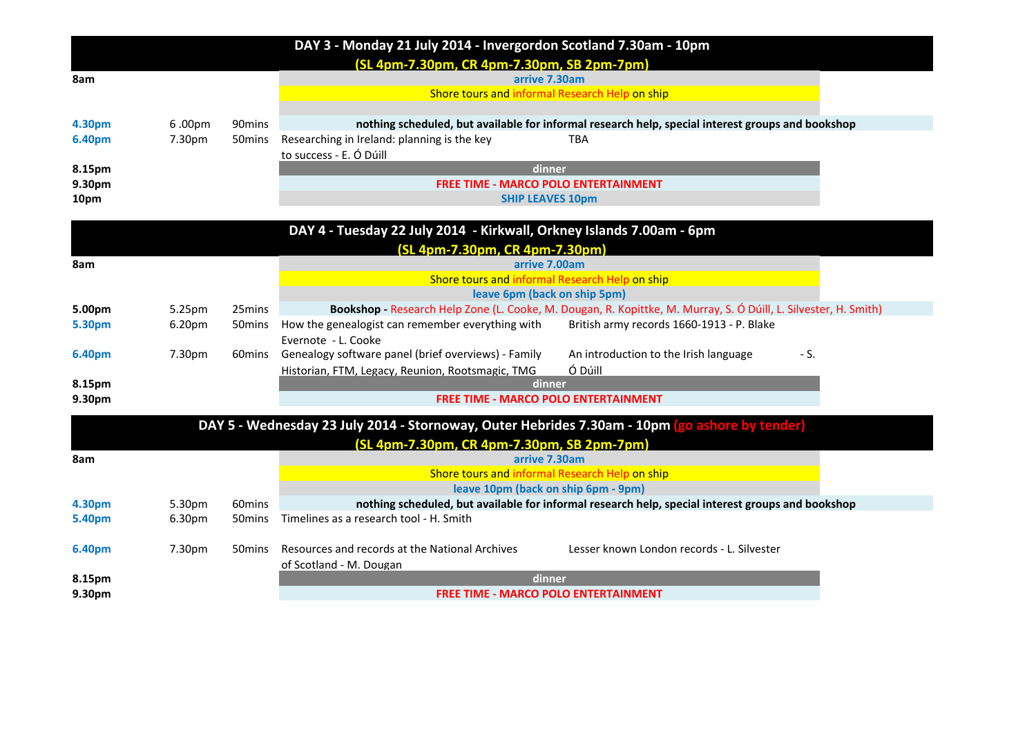|        |        |                    | DAY 3 - Monday 21 July 2014 - Invergordon Scotland 7.30am - 10pm                                                                                |
|--------|--------|--------------------|-------------------------------------------------------------------------------------------------------------------------------------------------|
|        |        |                    | (SL 4pm-7.30pm, CR 4pm-7.30pm, SB 2pm-7pm)                                                                                                      |
| 8am    |        |                    | arrive 7.30am                                                                                                                                   |
|        |        |                    | Shore tours and informal Research Help on ship                                                                                                  |
|        |        |                    |                                                                                                                                                 |
| 4.30pm | 6.00pm | 90 <sub>mins</sub> | nothing scheduled, but available for informal research help, special interest groups and bookshop                                               |
| 6.40pm | 7.30pm | 50mins             | Researching in Ireland: planning is the key<br><b>TBA</b>                                                                                       |
|        |        |                    | to success - E. Ó Dúill                                                                                                                         |
| 8.15pm |        |                    | dinner                                                                                                                                          |
| 9.30pm |        |                    | <b>FREE TIME - MARCO POLO ENTERTAINMENT</b>                                                                                                     |
| 10pm   |        |                    | <b>SHIP LEAVES 10pm</b>                                                                                                                         |
|        |        |                    |                                                                                                                                                 |
|        |        |                    | DAY 4 - Tuesday 22 July 2014 - Kirkwall, Orkney Islands 7.00am - 6pm                                                                            |
|        |        |                    | (SL 4pm-7.30pm, CR 4pm-7.30pm)                                                                                                                  |
| 8am    |        |                    | arrive 7.00am                                                                                                                                   |
|        |        |                    | Shore tours and informal Research Help on ship                                                                                                  |
| 5.00pm | 5.25pm | 25mins             | leave 6pm (back on ship 5pm)<br>Bookshop - Research Help Zone (L. Cooke, M. Dougan, R. Kopittke, M. Murray, S. Ó Dúill, L. Silvester, H. Smith) |
| 5.30pm | 6.20pm | 50mins             | How the genealogist can remember everything with<br>British army records 1660-1913 - P. Blake                                                   |
|        |        |                    | Evernote - L. Cooke                                                                                                                             |
| 6.40pm | 7.30pm | 60 <sub>mins</sub> | Genealogy software panel (brief overviews) - Family<br>An introduction to the Irish language<br>- S.                                            |
|        |        |                    | Ó Dúill<br>Historian, FTM, Legacy, Reunion, Rootsmagic, TMG                                                                                     |
| 8.15pm |        |                    | dinner                                                                                                                                          |
| 9.30pm |        |                    | <b>FREE TIME - MARCO POLO ENTERTAINMENT</b>                                                                                                     |
|        |        |                    |                                                                                                                                                 |
|        |        |                    | DAY 5 - Wednesday 23 July 2014 - Stornoway, Outer Hebrides 7.30am - 10pm (go ashore by tender)                                                  |
|        |        |                    | (SL 4pm-7.30pm, CR 4pm-7.30pm, SB 2pm-7pm)                                                                                                      |
| 8am    |        |                    | arrive 7.30am                                                                                                                                   |
|        |        |                    | Shore tours and informal Research Help on ship                                                                                                  |
|        |        |                    | leave 10pm (back on ship 6pm - 9pm)                                                                                                             |
| 4.30pm | 5.30pm | 60mins             | nothing scheduled, but available for informal research help, special interest groups and bookshop                                               |
| 5.40pm | 6.30pm | 50 <sub>mins</sub> | Timelines as a research tool - H. Smith                                                                                                         |
| 6.40pm | 7.30pm | 50 <sub>mins</sub> | Resources and records at the National Archives<br>Lesser known London records - L. Silvester                                                    |
|        |        |                    |                                                                                                                                                 |
| 8.15pm |        |                    | of Scotland - M. Dougan<br>dinner                                                                                                               |
| 9.30pm |        |                    | <b>FREE TIME - MARCO POLO ENTERTAINMENT</b>                                                                                                     |
|        |        |                    |                                                                                                                                                 |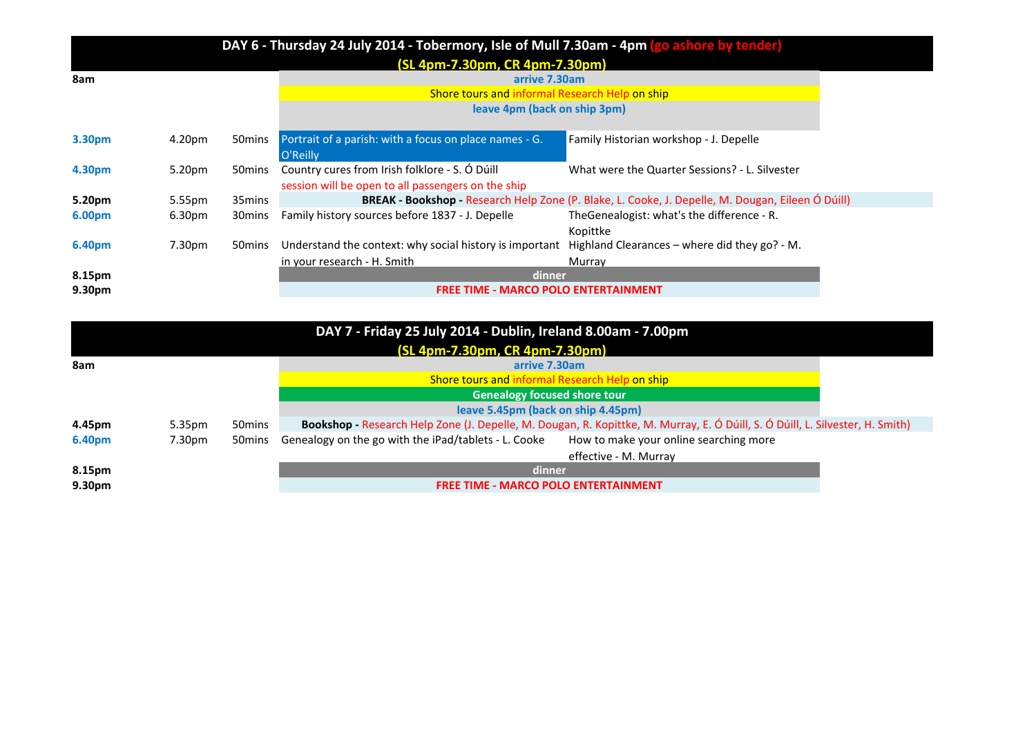|                    |                    |                    | DAY 6 - Thursday 24 July 2014 - Tobermory, Isle of Mull 7.30am - 4pm (go ashore by tender) |                                                                                                   |
|--------------------|--------------------|--------------------|--------------------------------------------------------------------------------------------|---------------------------------------------------------------------------------------------------|
|                    |                    |                    | (SL 4pm-7.30pm, CR 4pm-7.30pm)                                                             |                                                                                                   |
| 8am                |                    |                    | arrive 7.30am                                                                              |                                                                                                   |
|                    |                    |                    | Shore tours and informal Research Help on ship                                             |                                                                                                   |
|                    |                    |                    | leave 4pm (back on ship 3pm)                                                               |                                                                                                   |
| 3.30pm             | 4.20pm             | 50 mins            | Portrait of a parish: with a focus on place names - G.                                     | Family Historian workshop - J. Depelle                                                            |
|                    |                    |                    | O'Reilly                                                                                   |                                                                                                   |
| 4.30pm             | 5.20pm             | 50 mins            | Country cures from Irish folklore - S. Ó Dúill                                             | What were the Quarter Sessions? - L. Silvester                                                    |
|                    |                    |                    | session will be open to all passengers on the ship                                         |                                                                                                   |
| 5.20pm             | 5.55pm             | 35mins             |                                                                                            | BREAK - Bookshop - Research Help Zone (P. Blake, L. Cooke, J. Depelle, M. Dougan, Eileen Ó Dúill) |
| 6.00pm             | 6.30 <sub>pm</sub> | 30 <sub>mins</sub> | Family history sources before 1837 - J. Depelle                                            | TheGenealogist: what's the difference - R.<br>Kopittke                                            |
| 6.40pm             | 7.30pm             | 50 mins            | Understand the context: why social history is important                                    | Highland Clearances - where did they go? - M.                                                     |
|                    |                    |                    | in your research - H. Smith                                                                | Murray                                                                                            |
| 8.15pm             |                    |                    | dinner                                                                                     |                                                                                                   |
| 9.30 <sub>pm</sub> |                    |                    | <b>FREE TIME - MARCO POLO ENTERTAINMENT</b>                                                |                                                                                                   |

|        |        |                    | DAY 7 - Friday 25 July 2014 - Dublin, Ireland 8.00am - 7.00pm |                                                                                                                               |  |
|--------|--------|--------------------|---------------------------------------------------------------|-------------------------------------------------------------------------------------------------------------------------------|--|
|        |        |                    | (SL 4pm-7.30pm, CR 4pm-7.30pm)                                |                                                                                                                               |  |
| 8am    |        |                    | arrive 7.30am                                                 |                                                                                                                               |  |
|        |        |                    | Shore tours and informal Research Help on ship                |                                                                                                                               |  |
|        |        |                    | <b>Genealogy focused shore tour</b>                           |                                                                                                                               |  |
|        |        |                    | leave 5.45pm (back on ship 4.45pm)                            |                                                                                                                               |  |
| 4.45pm | 5.35pm | 50 mins            |                                                               | Bookshop - Research Help Zone (J. Depelle, M. Dougan, R. Kopittke, M. Murray, E. Ó Dúill, S. Ó Dúill, L. Silvester, H. Smith) |  |
| 6.40pm | 7.30pm | 50 <sub>mins</sub> | Genealogy on the go with the iPad/tablets - L. Cooke          | How to make your online searching more                                                                                        |  |
|        |        |                    |                                                               | effective - M. Murrav                                                                                                         |  |
| 8.15pm |        |                    | dinner                                                        |                                                                                                                               |  |
| 9.30pm |        |                    | <b>FREE TIME - MARCO POLO ENTERTAINMENT</b>                   |                                                                                                                               |  |